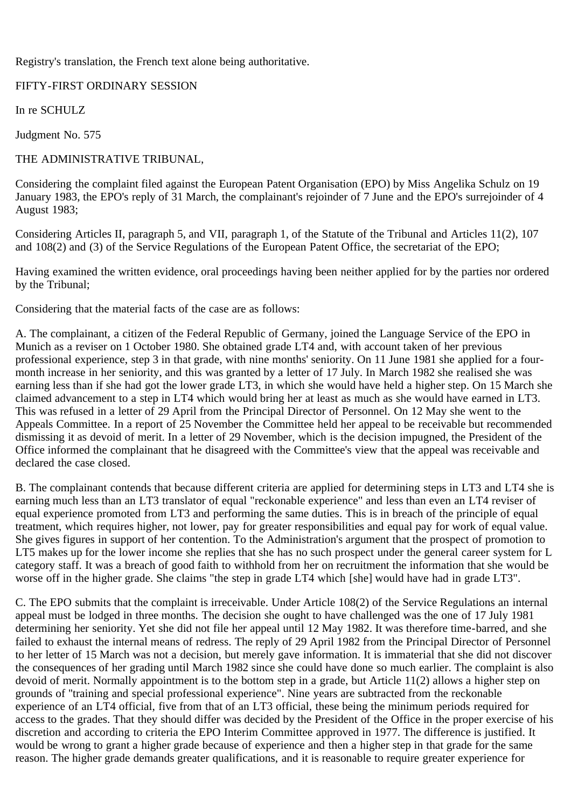Registry's translation, the French text alone being authoritative.

## FIFTY-FIRST ORDINARY SESSION

In re SCHULZ

Judgment No. 575

## THE ADMINISTRATIVE TRIBUNAL,

Considering the complaint filed against the European Patent Organisation (EPO) by Miss Angelika Schulz on 19 January 1983, the EPO's reply of 31 March, the complainant's rejoinder of 7 June and the EPO's surrejoinder of 4 August 1983;

Considering Articles II, paragraph 5, and VII, paragraph 1, of the Statute of the Tribunal and Articles 11(2), 107 and 108(2) and (3) of the Service Regulations of the European Patent Office, the secretariat of the EPO;

Having examined the written evidence, oral proceedings having been neither applied for by the parties nor ordered by the Tribunal;

Considering that the material facts of the case are as follows:

A. The complainant, a citizen of the Federal Republic of Germany, joined the Language Service of the EPO in Munich as a reviser on 1 October 1980. She obtained grade LT4 and, with account taken of her previous professional experience, step 3 in that grade, with nine months' seniority. On 11 June 1981 she applied for a fourmonth increase in her seniority, and this was granted by a letter of 17 July. In March 1982 she realised she was earning less than if she had got the lower grade LT3, in which she would have held a higher step. On 15 March she claimed advancement to a step in LT4 which would bring her at least as much as she would have earned in LT3. This was refused in a letter of 29 April from the Principal Director of Personnel. On 12 May she went to the Appeals Committee. In a report of 25 November the Committee held her appeal to be receivable but recommended dismissing it as devoid of merit. In a letter of 29 November, which is the decision impugned, the President of the Office informed the complainant that he disagreed with the Committee's view that the appeal was receivable and declared the case closed.

B. The complainant contends that because different criteria are applied for determining steps in LT3 and LT4 she is earning much less than an LT3 translator of equal "reckonable experience" and less than even an LT4 reviser of equal experience promoted from LT3 and performing the same duties. This is in breach of the principle of equal treatment, which requires higher, not lower, pay for greater responsibilities and equal pay for work of equal value. She gives figures in support of her contention. To the Administration's argument that the prospect of promotion to LT5 makes up for the lower income she replies that she has no such prospect under the general career system for L category staff. It was a breach of good faith to withhold from her on recruitment the information that she would be worse off in the higher grade. She claims "the step in grade LT4 which [she] would have had in grade LT3".

C. The EPO submits that the complaint is irreceivable. Under Article 108(2) of the Service Regulations an internal appeal must be lodged in three months. The decision she ought to have challenged was the one of 17 July 1981 determining her seniority. Yet she did not file her appeal until 12 May 1982. It was therefore time-barred, and she failed to exhaust the internal means of redress. The reply of 29 April 1982 from the Principal Director of Personnel to her letter of 15 March was not a decision, but merely gave information. It is immaterial that she did not discover the consequences of her grading until March 1982 since she could have done so much earlier. The complaint is also devoid of merit. Normally appointment is to the bottom step in a grade, but Article 11(2) allows a higher step on grounds of ''training and special professional experience". Nine years are subtracted from the reckonable experience of an LT4 official, five from that of an LT3 official, these being the minimum periods required for access to the grades. That they should differ was decided by the President of the Office in the proper exercise of his discretion and according to criteria the EPO Interim Committee approved in 1977. The difference is justified. It would be wrong to grant a higher grade because of experience and then a higher step in that grade for the same reason. The higher grade demands greater qualifications, and it is reasonable to require greater experience for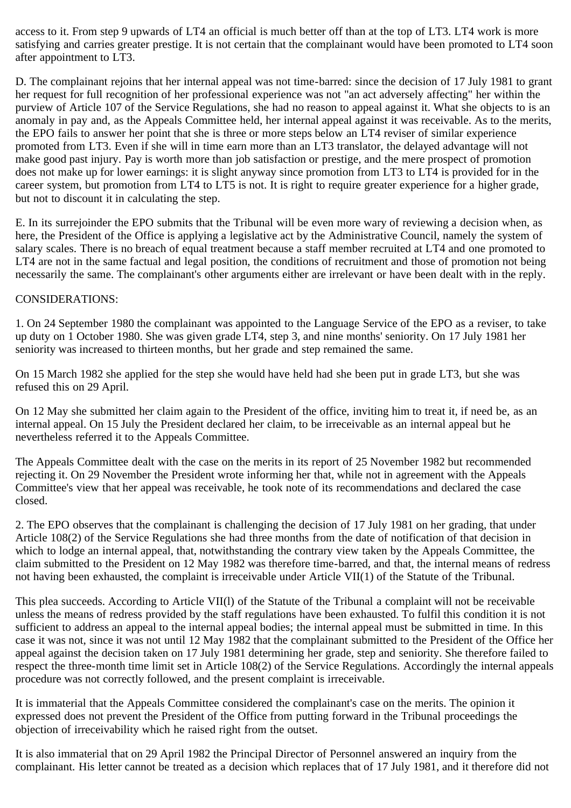access to it. From step 9 upwards of LT4 an official is much better off than at the top of LT3. LT4 work is more satisfying and carries greater prestige. It is not certain that the complainant would have been promoted to LT4 soon after appointment to LT3.

D. The complainant rejoins that her internal appeal was not time-barred: since the decision of 17 July 1981 to grant her request for full recognition of her professional experience was not "an act adversely affecting" her within the purview of Article 107 of the Service Regulations, she had no reason to appeal against it. What she objects to is an anomaly in pay and, as the Appeals Committee held, her internal appeal against it was receivable. As to the merits, the EPO fails to answer her point that she is three or more steps below an LT4 reviser of similar experience promoted from LT3. Even if she will in time earn more than an LT3 translator, the delayed advantage will not make good past injury. Pay is worth more than job satisfaction or prestige, and the mere prospect of promotion does not make up for lower earnings: it is slight anyway since promotion from LT3 to LT4 is provided for in the career system, but promotion from LT4 to LT5 is not. It is right to require greater experience for a higher grade, but not to discount it in calculating the step.

E. In its surrejoinder the EPO submits that the Tribunal will be even more wary of reviewing a decision when, as here, the President of the Office is applying a legislative act by the Administrative Council, namely the system of salary scales. There is no breach of equal treatment because a staff member recruited at LT4 and one promoted to LT4 are not in the same factual and legal position, the conditions of recruitment and those of promotion not being necessarily the same. The complainant's other arguments either are irrelevant or have been dealt with in the reply.

## CONSIDERATIONS:

1. On 24 September 1980 the complainant was appointed to the Language Service of the EPO as a reviser, to take up duty on 1 October 1980. She was given grade LT4, step 3, and nine months' seniority. On 17 July 1981 her seniority was increased to thirteen months, but her grade and step remained the same.

On 15 March 1982 she applied for the step she would have held had she been put in grade LT3, but she was refused this on 29 April.

On 12 May she submitted her claim again to the President of the office, inviting him to treat it, if need be, as an internal appeal. On 15 July the President declared her claim, to be irreceivable as an internal appeal but he nevertheless referred it to the Appeals Committee.

The Appeals Committee dealt with the case on the merits in its report of 25 November 1982 but recommended rejecting it. On 29 November the President wrote informing her that, while not in agreement with the Appeals Committee's view that her appeal was receivable, he took note of its recommendations and declared the case closed.

2. The EPO observes that the complainant is challenging the decision of 17 July 1981 on her grading, that under Article 108(2) of the Service Regulations she had three months from the date of notification of that decision in which to lodge an internal appeal, that, notwithstanding the contrary view taken by the Appeals Committee, the claim submitted to the President on 12 May 1982 was therefore time-barred, and that, the internal means of redress not having been exhausted, the complaint is irreceivable under Article VII(1) of the Statute of the Tribunal.

This plea succeeds. According to Article VII(l) of the Statute of the Tribunal a complaint will not be receivable unless the means of redress provided by the staff regulations have been exhausted. To fulfil this condition it is not sufficient to address an appeal to the internal appeal bodies; the internal appeal must be submitted in time. In this case it was not, since it was not until 12 May 1982 that the complainant submitted to the President of the Office her appeal against the decision taken on 17 July 1981 determining her grade, step and seniority. She therefore failed to respect the three-month time limit set in Article 108(2) of the Service Regulations. Accordingly the internal appeals procedure was not correctly followed, and the present complaint is irreceivable.

It is immaterial that the Appeals Committee considered the complainant's case on the merits. The opinion it expressed does not prevent the President of the Office from putting forward in the Tribunal proceedings the objection of irreceivability which he raised right from the outset.

It is also immaterial that on 29 April 1982 the Principal Director of Personnel answered an inquiry from the complainant. His letter cannot be treated as a decision which replaces that of 17 July 1981, and it therefore did not